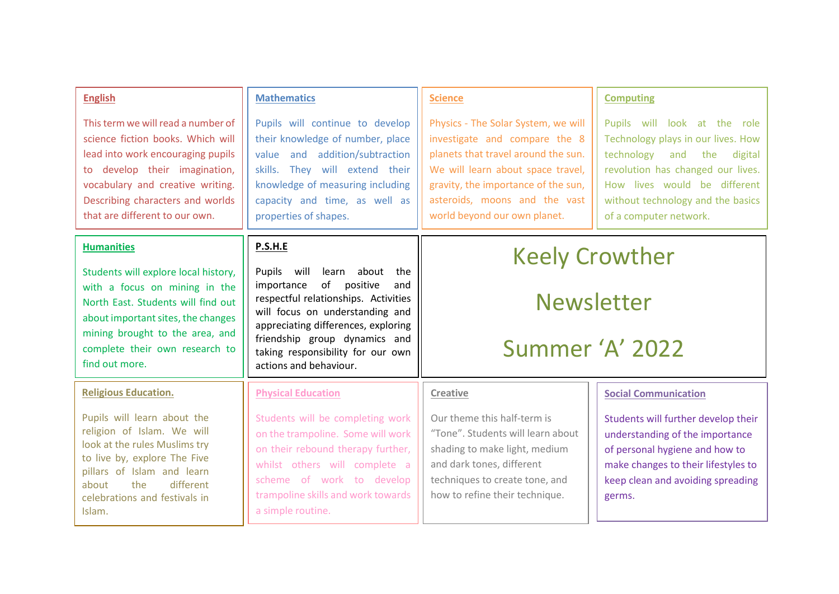| <b>English</b>                                                                                                                                                                                                                                          | <b>Mathematics</b>                                                                                                                                                                                                                                                                            | <b>Science</b>                                                                                                                                                                                                                                           | <b>Computing</b>                                                                                                                                                                                                                        |
|---------------------------------------------------------------------------------------------------------------------------------------------------------------------------------------------------------------------------------------------------------|-----------------------------------------------------------------------------------------------------------------------------------------------------------------------------------------------------------------------------------------------------------------------------------------------|----------------------------------------------------------------------------------------------------------------------------------------------------------------------------------------------------------------------------------------------------------|-----------------------------------------------------------------------------------------------------------------------------------------------------------------------------------------------------------------------------------------|
| This term we will read a number of<br>science fiction books. Which will<br>lead into work encouraging pupils<br>to develop their imagination,<br>vocabulary and creative writing.<br>Describing characters and worlds<br>that are different to our own. | Pupils will continue to develop<br>their knowledge of number, place<br>value and addition/subtraction<br>skills. They will extend their<br>knowledge of measuring including<br>capacity and time, as well as<br>properties of shapes.                                                         | Physics - The Solar System, we will<br>investigate and compare the 8<br>planets that travel around the sun.<br>We will learn about space travel,<br>gravity, the importance of the sun,<br>asteroids, moons and the vast<br>world beyond our own planet. | Pupils will look at the role<br>Technology plays in our lives. How<br>technology and the<br>digital<br>revolution has changed our lives.<br>How lives would be different<br>without technology and the basics<br>of a computer network. |
| <b>Humanities</b>                                                                                                                                                                                                                                       | P.S.H.E                                                                                                                                                                                                                                                                                       | <b>Keely Crowther</b>                                                                                                                                                                                                                                    |                                                                                                                                                                                                                                         |
| Students will explore local history,<br>with a focus on mining in the<br>North East. Students will find out<br>about important sites, the changes<br>mining brought to the area, and<br>complete their own research to<br>find out more.                | Pupils<br>will<br>learn<br>about the<br>of<br>positive<br>importance<br>and<br>respectful relationships. Activities<br>will focus on understanding and<br>appreciating differences, exploring<br>friendship group dynamics and<br>taking responsibility for our own<br>actions and behaviour. | <b>Newsletter</b><br>Summer 'A' 2022                                                                                                                                                                                                                     |                                                                                                                                                                                                                                         |
| <b>Religious Education.</b>                                                                                                                                                                                                                             | <b>Physical Education</b>                                                                                                                                                                                                                                                                     | <b>Creative</b>                                                                                                                                                                                                                                          | <b>Social Communication</b>                                                                                                                                                                                                             |
| Pupils will learn about the<br>religion of Islam. We will<br>look at the rules Muslims try<br>to live by, explore The Five<br>pillars of Islam and learn<br>the<br>different<br>about<br>celebrations and festivals in<br>Islam.                        | Students will be completing work<br>on the trampoline. Some will work<br>on their rebound therapy further,<br>whilst others will complete a<br>scheme of work to develop<br>trampoline skills and work towards<br>a simple routine.                                                           | Our theme this half-term is<br>"Tone". Students will learn about<br>shading to make light, medium<br>and dark tones, different<br>techniques to create tone, and<br>how to refine their technique.                                                       | Students will further develop their<br>understanding of the importance<br>of personal hygiene and how to<br>make changes to their lifestyles to<br>keep clean and avoiding spreading<br>germs.                                          |